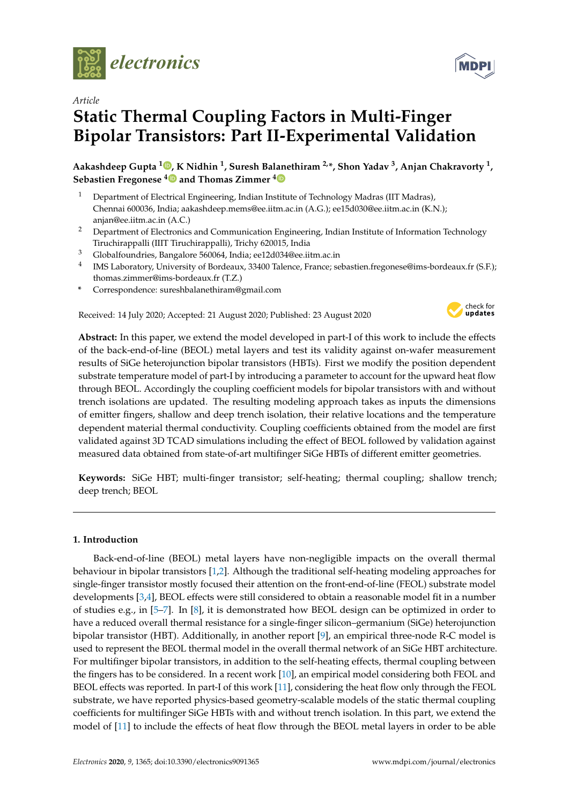

*Article*

# **Static Thermal Coupling Factors in Multi-Finger Bipolar Transistors: Part II-Experimental Validation**

**Aakashdeep Gupta <sup>1</sup> , K Nidhin <sup>1</sup> , Suresh Balanethiram 2,\*, Shon Yadav <sup>3</sup> , Anjan Chakravorty <sup>1</sup> , Sebastien Fregonese <sup>4</sup> and Thomas Zimmer <sup>4</sup>**

- <sup>1</sup> Department of Electrical Engineering, Indian Institute of Technology Madras (IIT Madras), Chennai 600036, India; aakashdeep.mems@ee.iitm.ac.in (A.G.); ee15d030@ee.iitm.ac.in (K.N.); anjan@ee.iitm.ac.in (A.C.)
- <sup>2</sup> Department of Electronics and Communication Engineering, Indian Institute of Information Technology Tiruchirappalli (IIIT Tiruchirappalli), Trichy 620015, India
- <sup>3</sup> Globalfoundries, Bangalore 560064, India; ee12d034@ee.iitm.ac.in
- <sup>4</sup> IMS Laboratory, University of Bordeaux, 33400 Talence, France; sebastien.fregonese@ims-bordeaux.fr (S.F.); thomas.zimmer@ims-bordeaux.fr (T.Z.)
- **\*** Correspondence: sureshbalanethiram@gmail.com

Received: 14 July 2020; Accepted: 21 August 2020; Published: 23 August 2020



**Abstract:** In this paper, we extend the model developed in part-I of this work to include the effects of the back-end-of-line (BEOL) metal layers and test its validity against on-wafer measurement results of SiGe heterojunction bipolar transistors (HBTs). First we modify the position dependent substrate temperature model of part-I by introducing a parameter to account for the upward heat flow through BEOL. Accordingly the coupling coefficient models for bipolar transistors with and without trench isolations are updated. The resulting modeling approach takes as inputs the dimensions of emitter fingers, shallow and deep trench isolation, their relative locations and the temperature dependent material thermal conductivity. Coupling coefficients obtained from the model are first validated against 3D TCAD simulations including the effect of BEOL followed by validation against measured data obtained from state-of-art multifinger SiGe HBTs of different emitter geometries.

**Keywords:** SiGe HBT; multi-finger transistor; self-heating; thermal coupling; shallow trench; deep trench; BEOL

## **1. Introduction**

Back-end-of-line (BEOL) metal layers have non-negligible impacts on the overall thermal behaviour in bipolar transistors [1,2]. Although the traditional self-heating modeling approaches for single-finger transistor mostly focused their attention on the front-end-of-line (FEOL) substrate model developments [3,4], BEOL effects were still considered to obtain a reasonable model fit in a number of studies e.g., in [5–7]. In [8], it is demonstrated how BEOL design can be optimized in order to have a reduced overall thermal resistance for a single-finger silicon–germanium (SiGe) heterojunction bipolar transistor (HBT). Additionally, in another report [9], an empirical three-node R-C model is used to represent the BEOL thermal model in the overall thermal network of an SiGe HBT architecture. For multifinger bipolar transistors, in addition to the self-heating effects, thermal coupling between the fingers has to be considered. In a recent work [10], an empirical model considering both FEOL and BEOL effects was reported. In part-I of this work [11], considering the heat flow only through the FEOL substrate, we have reported physics-based geometry-scalable models of the static thermal coupling coefficients for multifinger SiGe HBTs with and without trench isolation. In this part, we extend the model of [11] to include the effects of heat flow through the BEOL metal layers in order to be able

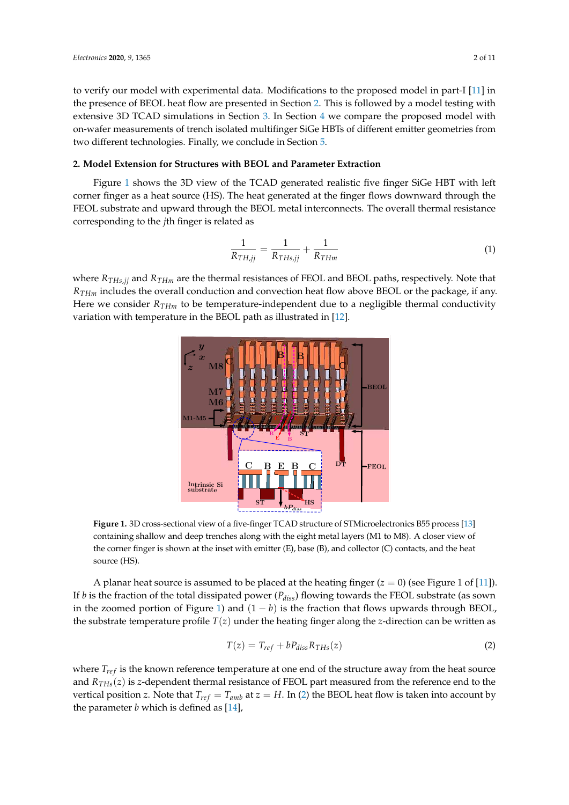to verify our model with experimental data. Modifications to the proposed model in part-I [11] in the presence of BEOL heat flow are presented in Section 2. This is followed by a model testing with extensive 3D TCAD simulations in Section 3. In Section 4 we compare the proposed model with on-wafer measurements of trench isolated multifinger SiGe HBTs of different emitter geometries from two different technologies. Finally, we conclude in Section 5.

#### **2. Model Extension for Structures with BEOL and Parameter Extraction**

Figure 1 shows the 3D view of the TCAD generated realistic five finger SiGe HBT with left corner finger as a heat source (HS). The heat generated at the finger flows downward through the FEOL substrate and upward through the BEOL metal interconnects. The overall thermal resistance corresponding to the *j*th finger is related as

$$
\frac{1}{R_{TH,jj}} = \frac{1}{R_{THs,jj}} + \frac{1}{R_{THm}}
$$
\n<sup>(1)</sup>

where *RTHs*,*jj* and *RTHm* are the thermal resistances of FEOL and BEOL paths, respectively. Note that *RTHm* includes the overall conduction and convection heat flow above BEOL or the package, if any. Here we consider *RTHm* to be temperature-independent due to a negligible thermal conductivity variation with temperature in the BEOL path as illustrated in [12].



**Figure 1.** 3D cross-sectional view of a five-finger TCAD structure of STMicroelectronics B55 process [13] containing shallow and deep trenches along with the eight metal layers (M1 to M8). A closer view of the corner finger is shown at the inset with emitter (E), base (B), and collector (C) contacts, and the heat source (HS).

A planar heat source is assumed to be placed at the heating finger  $(z = 0)$  (see Figure 1 of [11]). If *b* is the fraction of the total dissipated power (*Pdiss*) flowing towards the FEOL substrate (as sown in the zoomed portion of Figure 1) and  $(1 - b)$  is the fraction that flows upwards through BEOL, the substrate temperature profile  $T(z)$  under the heating finger along the *z*-direction can be written as

$$
T(z) = T_{ref} + bP_{diss}R_{THs}(z)
$$
\n(2)

where  $T_{ref}$  is the known reference temperature at one end of the structure away from the heat source and *RTHs*(*z*) is *z*-dependent thermal resistance of FEOL part measured from the reference end to the vertical position *z*. Note that  $T_{ref} = T_{amb}$  at  $z = H$ . In (2) the BEOL heat flow is taken into account by the parameter *b* which is defined as [14],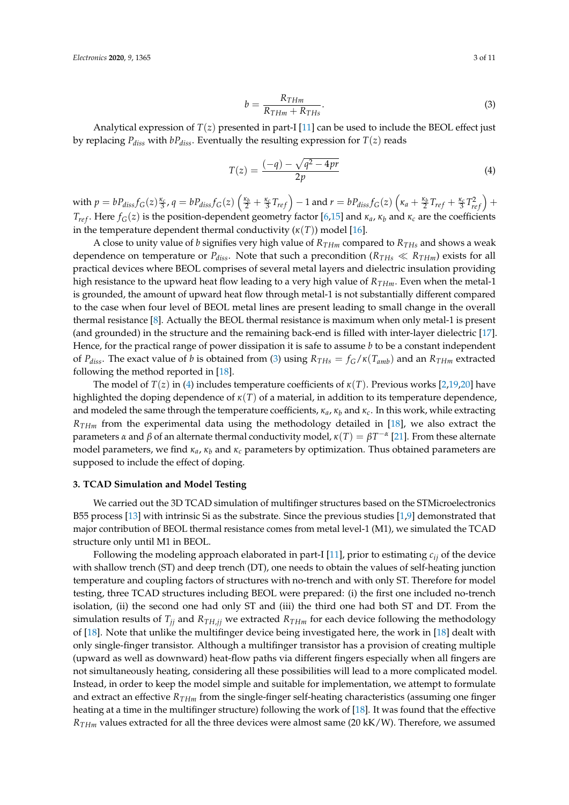$$
b = \frac{R_{THm}}{R_{THm} + R_{THs}}.\tag{3}
$$

Analytical expression of  $T(z)$  presented in part-I [11] can be used to include the BEOL effect just by replacing  $P_{diss}$  with  $bP_{diss}$ . Eventually the resulting expression for  $T(z)$  reads

$$
T(z) = \frac{(-q) - \sqrt{q^2 - 4pr}}{2p} \tag{4}
$$

with  $p=bP_{diss}f_G(z)\frac{\kappa_c}{3}$ ,  $q=bP_{diss}f_G(z)\left(\frac{\kappa_b}{2}+\frac{\kappa_c}{3}T_{ref}\right)-1$  and  $r=bP_{diss}f_G(z)\left(\kappa_a+\frac{\kappa_b}{2}T_{ref}+\frac{\kappa_c}{3}T_{ref}^2\right)+1$ *T*<sub>ref</sub>. Here  $f_G(z)$  is the position-dependent geometry factor [6,15] and  $\kappa_a$ ,  $\kappa_b$  and  $\kappa_c$  are the coefficients in the temperature dependent thermal conductivity  $(\kappa(T))$  model [16].

A close to unity value of *b* signifies very high value of  $R_{THm}$  compared to  $R_{THs}$  and shows a weak dependence on temperature or  $P_{diss}$ . Note that such a precondition ( $R_{THs} \ll R_{THm}$ ) exists for all practical devices where BEOL comprises of several metal layers and dielectric insulation providing high resistance to the upward heat flow leading to a very high value of *RTHm*. Even when the metal-1 is grounded, the amount of upward heat flow through metal-1 is not substantially different compared to the case when four level of BEOL metal lines are present leading to small change in the overall thermal resistance [8]. Actually the BEOL thermal resistance is maximum when only metal-1 is present (and grounded) in the structure and the remaining back-end is filled with inter-layer dielectric [17]. Hence, for the practical range of power dissipation it is safe to assume *b* to be a constant independent of *P*<sub>diss</sub>. The exact value of *b* is obtained from (3) using  $R_{THs} = f_G / \kappa(T_{amb})$  and an  $R_{THm}$  extracted following the method reported in [18].

The model of *T*(*z*) in (4) includes temperature coefficients of *κ*(*T*). Previous works [2,19,20] have highlighted the doping dependence of *κ*(*T*) of a material, in addition to its temperature dependence, and modeled the same through the temperature coefficients, *κa*, *κ<sup>b</sup>* and *κc*. In this work, while extracting *RTHm* from the experimental data using the methodology detailed in [18], we also extract the parameters *α* and *β* of an alternate thermal conductivity model, *κ*(*T*) = *βT* −*α* [21]. From these alternate model parameters, we find *κa*, *κ<sup>b</sup>* and *κ<sup>c</sup>* parameters by optimization. Thus obtained parameters are supposed to include the effect of doping.

#### **3. TCAD Simulation and Model Testing**

We carried out the 3D TCAD simulation of multifinger structures based on the STMicroelectronics B55 process [13] with intrinsic Si as the substrate. Since the previous studies [1,9] demonstrated that major contribution of BEOL thermal resistance comes from metal level-1 (M1), we simulated the TCAD structure only until M1 in BEOL.

Following the modeling approach elaborated in part-I [11], prior to estimating *cij* of the device with shallow trench (ST) and deep trench (DT), one needs to obtain the values of self-heating junction temperature and coupling factors of structures with no-trench and with only ST. Therefore for model testing, three TCAD structures including BEOL were prepared: (i) the first one included no-trench isolation, (ii) the second one had only ST and (iii) the third one had both ST and DT. From the simulation results of  $T_{jj}$  and  $R_{THjj}$  we extracted  $R_{THm}$  for each device following the methodology of [18]. Note that unlike the multifinger device being investigated here, the work in [18] dealt with only single-finger transistor. Although a multifinger transistor has a provision of creating multiple (upward as well as downward) heat-flow paths via different fingers especially when all fingers are not simultaneously heating, considering all these possibilities will lead to a more complicated model. Instead, in order to keep the model simple and suitable for implementation, we attempt to formulate and extract an effective *RTHm* from the single-finger self-heating characteristics (assuming one finger heating at a time in the multifinger structure) following the work of [18]. It was found that the effective *RTHm* values extracted for all the three devices were almost same (20 kK/W). Therefore, we assumed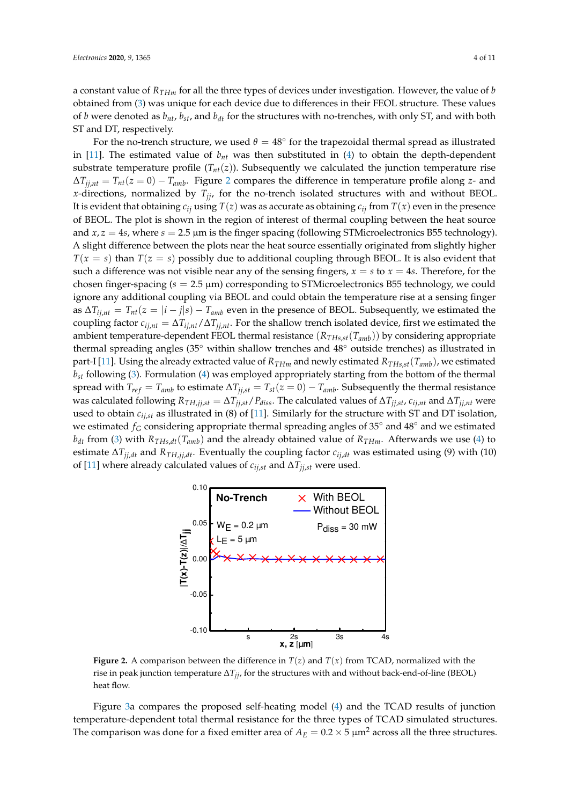a constant value of *RTHm* for all the three types of devices under investigation. However, the value of *b* obtained from (3) was unique for each device due to differences in their FEOL structure. These values of *b* were denoted as *bnt*, *bst*, and *bdt* for the structures with no-trenches, with only ST, and with both ST and DT, respectively.

For the no-trench structure, we used  $\theta = 48^{\circ}$  for the trapezoidal thermal spread as illustrated in [11]. The estimated value of *bnt* was then substituted in (4) to obtain the depth-dependent substrate temperature profile  $(T_{nt}(z))$ . Subsequently we calculated the junction temperature rise  $\Delta T_{j,j,nt} = T_{nt}(z=0) - T_{amb}$ . Figure 2 compares the difference in temperature profile along *z*- and *x*-directions, normalized by  $T_{ji}$ , for the no-trench isolated structures with and without BEOL. It is evident that obtaining  $c_{ij}$  using  $T(z)$  was as accurate as obtaining  $c_{ij}$  from  $T(x)$  even in the presence of BEOL. The plot is shown in the region of interest of thermal coupling between the heat source and  $x, z = 4s$ , where  $s = 2.5 \mu m$  is the finger spacing (following STMicroelectronics B55 technology). A slight difference between the plots near the heat source essentially originated from slightly higher  $T(x = s)$  than  $T(z = s)$  possibly due to additional coupling through BEOL. It is also evident that such a difference was not visible near any of the sensing fingers,  $x = s$  to  $x = 4s$ . Therefore, for the chosen finger-spacing (*s* = 2.5 µm) corresponding to STMicroelectronics B55 technology, we could ignore any additional coupling via BEOL and could obtain the temperature rise at a sensing finger as  $\Delta T_{ij,nt} = T_{nt}(z = |i - j|s) - T_{amb}$  even in the presence of BEOL. Subsequently, we estimated the coupling factor  $c_{i,j,nt} = \Delta T_{i,j,nt}/\Delta T_{j,j,nt}$ . For the shallow trench isolated device, first we estimated the ambient temperature-dependent FEOL thermal resistance (*RTHs*,*st*(*Tamb*)) by considering appropriate thermal spreading angles (35◦ within shallow trenches and 48◦ outside trenches) as illustrated in part-I [11]. Using the already extracted value of  $R_{THm}$  and newly estimated  $R_{THs,st}(T_{amb})$ , we estimated *bst* following (3). Formulation (4) was employed appropriately starting from the bottom of the thermal spread with  $T_{ref} = T_{amb}$  to estimate  $\Delta T_{ij,st} = T_{st}(z=0) - T_{amb}$ . Subsequently the thermal resistance was calculated following  $R_{TH,jj,st} = \Delta T_{jj,st}/P_{diss}$ . The calculated values of  $\Delta T_{jj,st}$ ,  $c_{ij,nt}$  and  $\Delta T_{jj,nt}$  were used to obtain  $c_{i,j}$  as illustrated in (8) of [11]. Similarly for the structure with ST and DT isolation, we estimated  $f_G$  considering appropriate thermal spreading angles of 35 $\degree$  and 48 $\degree$  and we estimated  $b_{dt}$  from (3) with  $R_{THs,dt}(T_{amb})$  and the already obtained value of  $R_{THm}$ . Afterwards we use (4) to estimate  $\Delta T_{ij,dt}$  and  $R_{TH,ij,dt}$ . Eventually the coupling factor  $c_{ij,dt}$  was estimated using (9) with (10) of [11] where already calculated values of  $c_{i,j,st}$  and  $\Delta T_{i,j,st}$  were used.



**Figure 2.** A comparison between the difference in  $T(z)$  and  $T(x)$  from TCAD, normalized with the rise in peak junction temperature ∆*Tjj*, for the structures with and without back-end-of-line (BEOL) heat flow.

Figure 3a compares the proposed self-heating model (4) and the TCAD results of junction temperature-dependent total thermal resistance for the three types of TCAD simulated structures. The comparison was done for a fixed emitter area of  $A_E = 0.2 \times 5 \mu m^2$  across all the three structures.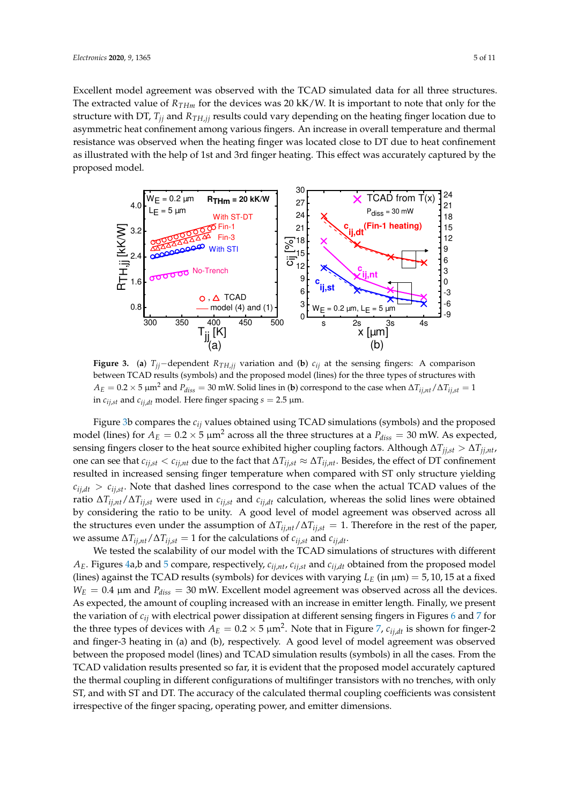Excellent model agreement was observed with the TCAD simulated data for all three structures. The extracted value of *RTHm* for the devices was 20 kK/W. It is important to note that only for the structure with DT, *Tjj* and *RTH*,*jj* results could vary depending on the heating finger location due to asymmetric heat confinement among various fingers. An increase in overall temperature and thermal resistance was observed when the heating finger was located close to DT due to heat confinement as illustrated with the help of 1st and 3rd finger heating. This effect was accurately captured by the proposed model.



**Figure 3.** (a)  $T_{ij}$ −dependent  $R_{TH,ij}$  variation and (b)  $c_{ij}$  at the sensing fingers: A comparison between TCAD results (symbols) and the proposed model (lines) for the three types of structures with  $A_E = 0.2 \times 5 \mu m^2$  and  $P_{diss} = 30 \text{ mW}$ . Solid lines in (**b**) correspond to the case when  $\Delta T_{ij, nt} / \Delta T_{ij, st} = 1$ in  $c_{ij,st}$  and  $c_{ij,dt}$  model. Here finger spacing  $s = 2.5 \mu m$ .

Figure 3b compares the *cij* values obtained using TCAD simulations (symbols) and the proposed model (lines) for  $A_E = 0.2 \times 5 \mu m^2$  across all the three structures at a  $P_{diss} = 30$  mW. As expected, sensing fingers closer to the heat source exhibited higher coupling factors. Although  $\Delta T_{j i, st} > \Delta T_{j j, nt}$ , one can see that  $c_{i,j,st} < c_{i,j,nt}$  due to the fact that  $\Delta T_{i,j,st} \approx \Delta T_{i,j,nt}$ . Besides, the effect of DT confinement resulted in increased sensing finger temperature when compared with ST only structure yielding  $c_{i,j}$ ,  $c_{i,j}$ , Note that dashed lines correspond to the case when the actual TCAD values of the *ratio*  $\Delta T_{ij,nt}/\Delta T_{ij,st}$  were used in  $c_{ij,st}$  and  $c_{ij,dt}$  calculation, whereas the solid lines were obtained by considering the ratio to be unity. A good level of model agreement was observed across all the structures even under the assumption of  $\Delta T_{ij,nt}/\Delta T_{ij,st} = 1$ . Therefore in the rest of the paper, we assume  $\Delta T_{i,j} / \Delta T_{i,j,t} = 1$  for the calculations of  $c_{i,j,t}$  and  $c_{i,j,t}$ .

We tested the scalability of our model with the TCAD simulations of structures with different *AE*. Figures 4a,b and 5 compare, respectively, *cij*,*nt*, *cij*,*st* and *cij*,*dt* obtained from the proposed model (lines) against the TCAD results (symbols) for devices with varying  $L_E$  (in  $\mu$ m) = 5, 10, 15 at a fixed  $W_E = 0.4$  µm and  $P_{diss} = 30$  mW. Excellent model agreement was observed across all the devices. As expected, the amount of coupling increased with an increase in emitter length. Finally, we present the variation of *cij* with electrical power dissipation at different sensing fingers in Figures 6 and 7 for the three types of devices with  $A_E = 0.2 \times 5 \mu m^2$ . Note that in Figure 7,  $c_{ij,dt}$  is shown for finger-2 and finger-3 heating in (a) and (b), respectively. A good level of model agreement was observed between the proposed model (lines) and TCAD simulation results (symbols) in all the cases. From the TCAD validation results presented so far, it is evident that the proposed model accurately captured the thermal coupling in different configurations of multifinger transistors with no trenches, with only ST, and with ST and DT. The accuracy of the calculated thermal coupling coefficients was consistent irrespective of the finger spacing, operating power, and emitter dimensions.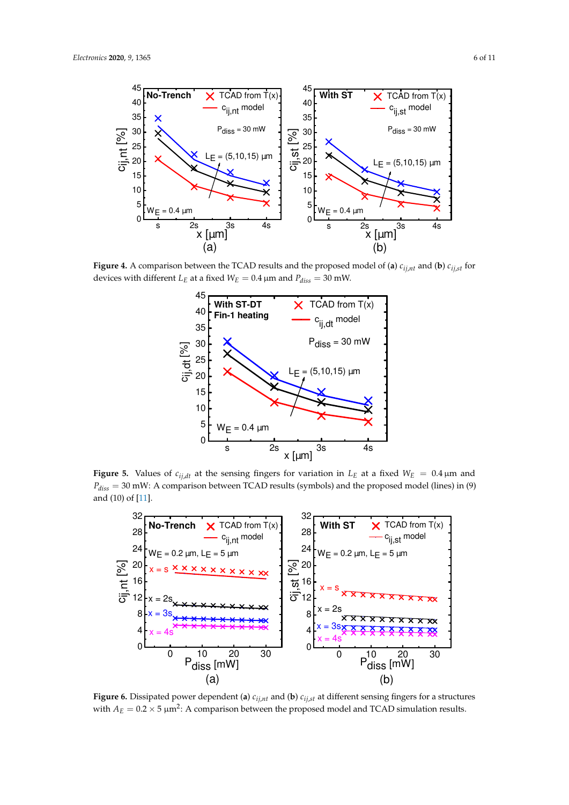

**Figure 4.** A comparison between the TCAD results and the proposed model of (a)  $c_{ij,nt}$  and (b)  $c_{ij,st}$  for devices with different  $L_E$  at a fixed  $W_E = 0.4 \,\mu\text{m}$  and  $P_{diss} = 30 \,\text{mW}$ .



**Figure 5.** Values of  $c_{ij,dt}$  at the sensing fingers for variation in  $L<sub>E</sub>$  at a fixed  $W<sub>E</sub> = 0.4 \mu m$  and *Pdiss* = 30 mW: A comparison between TCAD results (symbols) and the proposed model (lines) in (9) and (10) of [11].



**Figure 6.** Dissipated power dependent (a)  $c_{ij,nt}$  and (b)  $c_{ij,st}$  at different sensing fingers for a structures with  $A_E = 0.2 \times 5 \mu m^2$ : A comparison between the proposed model and TCAD simulation results.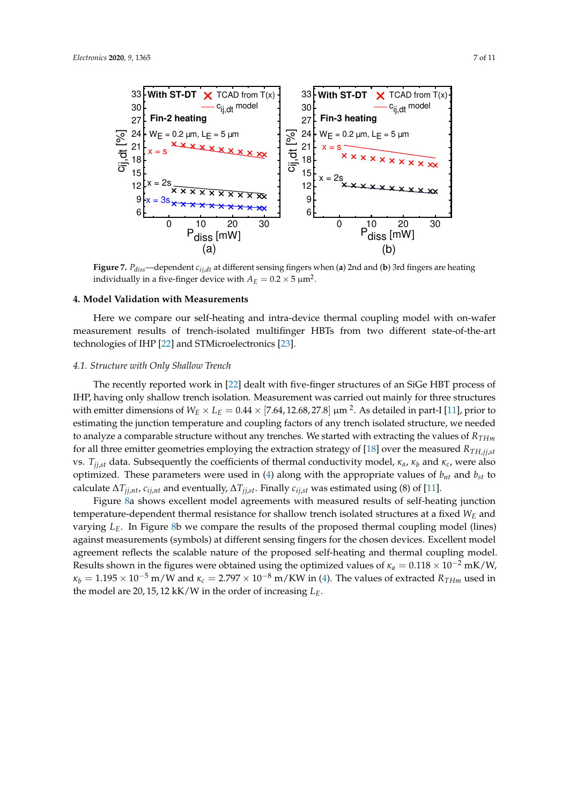

**Figure 7.**  $P_{diss}$ —dependent  $c_{ij}$ , *dt* different sensing fingers when (**a**) 2nd and (**b**) 3rd fingers are heating individually in a five-finger device with  $A_E = 0.2 \times 5~\mu \text{m}^2$ .

#### **4. Model Validation with Measurements**

Here we compare our self-heating and intra-device thermal coupling model with on-wafer measurement results of trench-isolated multifinger HBTs from two different state-of-the-art technologies of IHP [22] and STMicroelectronics [23].

#### *4.1. Structure with Only Shallow Trench*

The recently reported work in [22] dealt with five-finger structures of an SiGe HBT process of IHP, having only shallow trench isolation. Measurement was carried out mainly for three structures with emitter dimensions of  $W_E\times L_E=0.44\times[7.64,12.68,27.8]$  µm <sup>2</sup>. As detailed in part-I [11], prior to estimating the junction temperature and coupling factors of any trench isolated structure, we needed to analyze a comparable structure without any trenches. We started with extracting the values of *RTHm* for all three emitter geometries employing the extraction strategy of [18] over the measured  $R_{TH, i,j, st}$ vs. *Tjj*,*st* data. Subsequently the coefficients of thermal conductivity model, *κa*, *κ<sup>b</sup>* and *κc*, were also optimized. These parameters were used in (4) along with the appropriate values of *bnt* and *bst* to calculate  $\Delta T_{ij, nt}$ ,  $c_{ij, nt}$  and eventually,  $\Delta T_{ij, st}$ . Finally  $c_{ij, st}$  was estimated using (8) of [11].

Figure 8a shows excellent model agreements with measured results of self-heating junction temperature-dependent thermal resistance for shallow trench isolated structures at a fixed *W<sup>E</sup>* and varying *LE*. In Figure 8b we compare the results of the proposed thermal coupling model (lines) against measurements (symbols) at different sensing fingers for the chosen devices. Excellent model agreement reflects the scalable nature of the proposed self-heating and thermal coupling model. Results shown in the figures were obtained using the optimized values of  $\kappa_a = 0.118 \times 10^{-2}$  mK/W,  $\kappa_b = 1.195 \times 10^{-5}$  m/W and  $\kappa_c = 2.797 \times 10^{-8}$  m/KW in (4). The values of extracted  $R_{THm}$  used in the model are 20, 15, 12 kK/W in the order of increasing *LE*.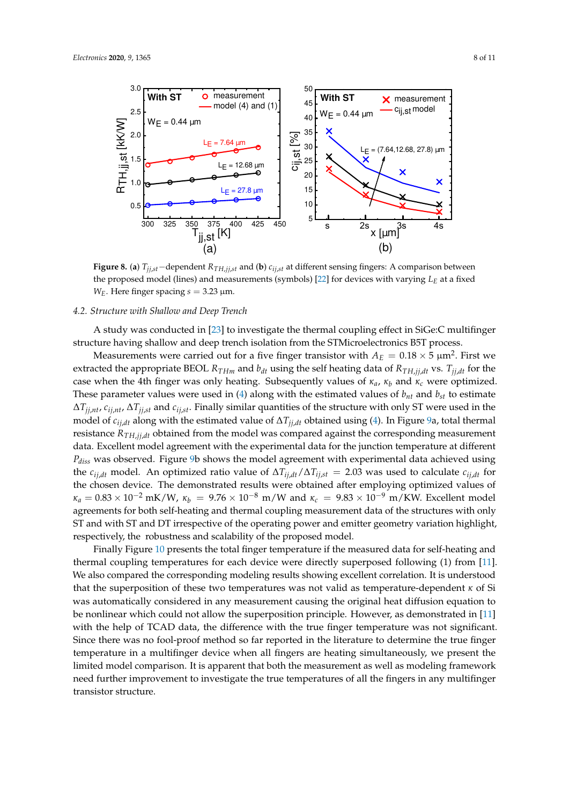

**Figure 8.** (a)  $T_{i,j,t}$ −dependent  $R_{TH,i,j,t}$  and (b)  $c_{i,j,t}$  at different sensing fingers: A comparison between the proposed model (lines) and measurements (symbols) [22] for devices with varying *L<sup>E</sup>* at a fixed *W*<sub>*E*</sub>. Here finger spacing  $s = 3.23$  µm.

# *4.2. Structure with Shallow and Deep Trench*

A study was conducted in [23] to investigate the thermal coupling effect in SiGe:C multifinger structure having shallow and deep trench isolation from the STMicroelectronics B5T process.

Measurements were carried out for a five finger transistor with  $A_E = 0.18 \times 5$   $\mu$ m<sup>2</sup>. First we extracted the appropriate BEOL  $R_{THm}$  and  $b_{dt}$  using the self heating data of  $R_{TH,jj,dt}$  vs.  $T_{ij,dt}$  for the case when the 4th finger was only heating. Subsequently values of *κa*, *κ<sup>b</sup>* and *κ<sup>c</sup>* were optimized. These parameter values were used in  $(4)$  along with the estimated values of  $b<sub>nt</sub>$  and  $b<sub>st</sub>$  to estimate ∆*Tjj*,*nt*, *cij*,*nt*, ∆*Tjj*,*st* and *cij*,*st*. Finally similar quantities of the structure with only ST were used in the model of  $c_{ij,dt}$  along with the estimated value of  $\Delta T_{jj,dt}$  obtained using (4). In Figure 9a, total thermal resistance *RTH*,*jj*,*dt* obtained from the model was compared against the corresponding measurement data. Excellent model agreement with the experimental data for the junction temperature at different *Pdiss* was observed. Figure 9b shows the model agreement with experimental data achieved using the  $c_{ij,dt}$  model. An optimized ratio value of  $\Delta T_{ij,dt}/\Delta T_{ij,st} = 2.03$  was used to calculate  $c_{ij,dt}$  for the chosen device. The demonstrated results were obtained after employing optimized values of  $\kappa_a = 0.83 \times 10^{-2} \text{ mK/W}$ ,  $\kappa_b = 9.76 \times 10^{-8} \text{ m/W}$  and  $\kappa_c = 9.83 \times 10^{-9} \text{ m/KW}$ . Excellent model agreements for both self-heating and thermal coupling measurement data of the structures with only ST and with ST and DT irrespective of the operating power and emitter geometry variation highlight, respectively, the robustness and scalability of the proposed model.

Finally Figure 10 presents the total finger temperature if the measured data for self-heating and thermal coupling temperatures for each device were directly superposed following (1) from [11]. We also compared the corresponding modeling results showing excellent correlation. It is understood that the superposition of these two temperatures was not valid as temperature-dependent *κ* of Si was automatically considered in any measurement causing the original heat diffusion equation to be nonlinear which could not allow the superposition principle. However, as demonstrated in [11] with the help of TCAD data, the difference with the true finger temperature was not significant. Since there was no fool-proof method so far reported in the literature to determine the true finger temperature in a multifinger device when all fingers are heating simultaneously, we present the limited model comparison. It is apparent that both the measurement as well as modeling framework need further improvement to investigate the true temperatures of all the fingers in any multifinger transistor structure.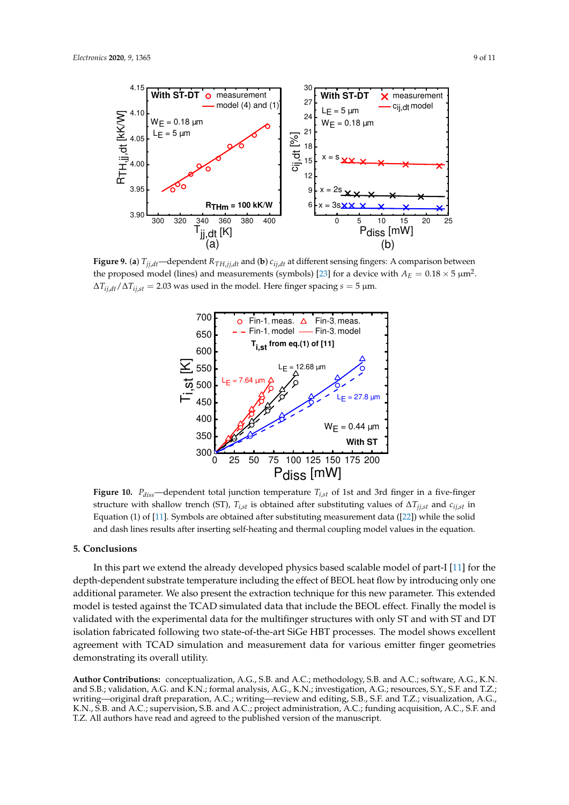

**Figure 9.** (a)  $T_{jj,dt}$ —dependent  $R_{TH,jj,dt}$  and (b)  $c_{ij,dt}$  at different sensing fingers: A comparison between the proposed model (lines) and measurements (symbols) [23] for a device with  $A_E = 0.18 \times 5 \text{ }\mu\text{m}^2$ .  $\Delta T_{ij,dt}/\Delta T_{ij,st} = 2.03$  was used in the model. Here finger spacing  $s = 5$  µm.



**Figure 10.**  $P_{diss}$ —dependent total junction temperature  $T_{i,st}$  of 1st and 3rd finger in a five-finger structure with shallow trench (ST),  $T_{i,st}$  is obtained after substituting values of  $\Delta T_{ij,st}$  and  $c_{ij,st}$  in Equation (1) of [11]. Symbols are obtained after substituting measurement data ([22]) while the solid and dash lines results after inserting self-heating and thermal coupling model values in the equation.

#### **5. Conclusions**

In this part we extend the already developed physics based scalable model of part-I [11] for the depth-dependent substrate temperature including the effect of BEOL heat flow by introducing only one additional parameter. We also present the extraction technique for this new parameter. This extended model is tested against the TCAD simulated data that include the BEOL effect. Finally the model is validated with the experimental data for the multifinger structures with only ST and with ST and DT isolation fabricated following two state-of-the-art SiGe HBT processes. The model shows excellent agreement with TCAD simulation and measurement data for various emitter finger geometries demonstrating its overall utility.

**Author Contributions:** conceptualization, A.G., S.B. and A.C.; methodology, S.B. and A.C.; software, A.G., K.N. and S.B.; validation, A.G. and K.N.; formal analysis, A.G., K.N.; investigation, A.G.; resources, S.Y., S.F. and T.Z.; writing—original draft preparation, A.C.; writing—review and editing, S.B., S.F. and T.Z.; visualization, A.G., K.N., S.B. and A.C.; supervision, S.B. and A.C.; project administration, A.C.; funding acquisition, A.C., S.F. and T.Z. All authors have read and agreed to the published version of the manuscript.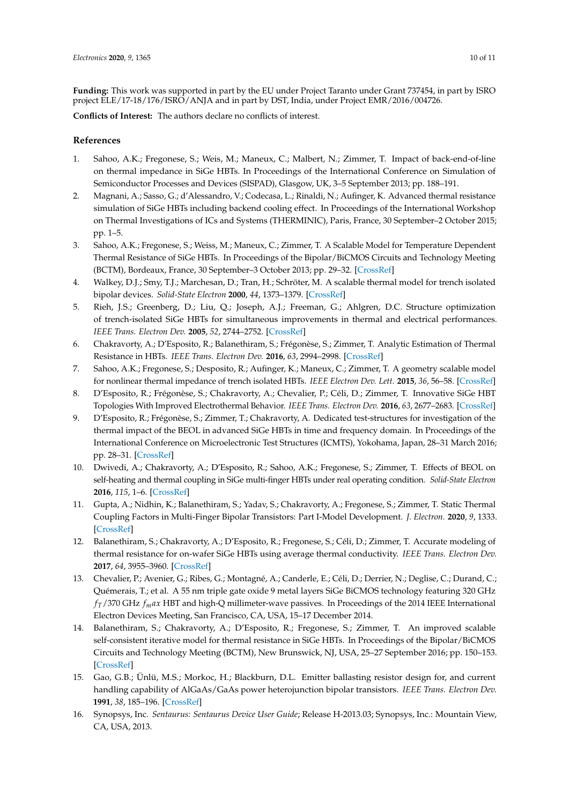**Funding:** This work was supported in part by the EU under Project Taranto under Grant 737454, in part by ISRO project ELE/17-18/176/ISRO/ANJA and in part by DST, India, under Project EMR/2016/004726.

**Conflicts of Interest:** The authors declare no conflicts of interest.

## **References**

- 1. Sahoo, A.K.; Fregonese, S.; Weis, M.; Maneux, C.; Malbert, N.; Zimmer, T. Impact of back-end-of-line on thermal impedance in SiGe HBTs. In Proceedings of the International Conference on Simulation of Semiconductor Processes and Devices (SISPAD), Glasgow, UK, 3–5 September 2013; pp. 188–191.
- 2. Magnani, A.; Sasso, G.; d'Alessandro, V.; Codecasa, L.; Rinaldi, N.; Aufinger, K. Advanced thermal resistance simulation of SiGe HBTs including backend cooling effect. In Proceedings of the International Workshop on Thermal Investigations of ICs and Systems (THERMINIC), Paris, France, 30 September–2 October 2015; pp. 1–5.
- 3. Sahoo, A.K.; Fregonese, S.; Weiss, M.; Maneux, C.; Zimmer, T. A Scalable Model for Temperature Dependent Thermal Resistance of SiGe HBTs. In Proceedings of the Bipolar/BiCMOS Circuits and Technology Meeting (BCTM), Bordeaux, France, 30 September–3 October 2013; pp. 29–32. [CrossRef]
- 4. Walkey, D.J.; Smy, T.J.; Marchesan, D.; Tran, H.; Schröter, M. A scalable thermal model for trench isolated bipolar devices. *Solid-State Electron* **2000**, *44*, 1373–1379. [CrossRef]
- 5. Rieh, J.S.; Greenberg, D.; Liu, Q.; Joseph, A.J.; Freeman, G.; Ahlgren, D.C. Structure optimization of trench-isolated SiGe HBTs for simultaneous improvements in thermal and electrical performances. *IEEE Trans. Electron Dev.* **2005**, *52*, 2744–2752. [CrossRef]
- 6. Chakravorty, A.; D'Esposito, R.; Balanethiram, S.; Frégonèse, S.; Zimmer, T. Analytic Estimation of Thermal Resistance in HBTs. *IEEE Trans. Electron Dev.* **2016**, *63*, 2994–2998. [CrossRef]
- 7. Sahoo, A.K.; Fregonese, S.; Desposito, R.; Aufinger, K.; Maneux, C.; Zimmer, T. A geometry scalable model for nonlinear thermal impedance of trench isolated HBTs. *IEEE Electron Dev. Lett.* **2015**, *36*, 56–58. [CrossRef]
- 8. D'Esposito, R.; Frégonèse, S.; Chakravorty, A.; Chevalier, P.; Céli, D.; Zimmer, T. Innovative SiGe HBT Topologies With Improved Electrothermal Behavior. *IEEE Trans. Electron Dev.* **2016**, *63*, 2677–2683. [CrossRef]
- 9. D'Esposito, R.; Frégonèse, S.; Zimmer, T.; Chakravorty, A. Dedicated test-structures for investigation of the thermal impact of the BEOL in advanced SiGe HBTs in time and frequency domain. In Proceedings of the International Conference on Microelectronic Test Structures (ICMTS), Yokohama, Japan, 28–31 March 2016; pp. 28–31. [CrossRef]
- 10. Dwivedi, A.; Chakravorty, A.; D'Esposito, R.; Sahoo, A.K.; Fregonese, S.; Zimmer, T. Effects of BEOL on self-heating and thermal coupling in SiGe multi-finger HBTs under real operating condition. *Solid-State Electron* **2016**, *115*, 1–6. [CrossRef]
- 11. Gupta, A.; Nidhin, K.; Balanethiram, S.; Yadav, S.; Chakravorty, A.; Fregonese, S.; Zimmer, T. Static Thermal Coupling Factors in Multi-Finger Bipolar Transistors: Part I-Model Development. *J. Electron.* **2020**, *9*, 1333. [CrossRef]
- 12. Balanethiram, S.; Chakravorty, A.; D'Esposito, R.; Fregonese, S.; Céli, D.; Zimmer, T. Accurate modeling of thermal resistance for on-wafer SiGe HBTs using average thermal conductivity. *IEEE Trans. Electron Dev.* **2017**, *64*, 3955–3960. [CrossRef]
- 13. Chevalier, P.; Avenier, G.; Ribes, G.; Montagné, A.; Canderle, E.; Céli, D.; Derrier, N.; Deglise, C.; Durand, C.; Quémerais, T.; et al. A 55 nm triple gate oxide 9 metal layers SiGe BiCMOS technology featuring 320 GHz *fT*/370 GHz *fmax* HBT and high-Q millimeter-wave passives. In Proceedings of the 2014 IEEE International Electron Devices Meeting, San Francisco, CA, USA, 15–17 December 2014.
- 14. Balanethiram, S.; Chakravorty, A.; D'Esposito, R.; Fregonese, S.; Zimmer, T. An improved scalable self-consistent iterative model for thermal resistance in SiGe HBTs. In Proceedings of the Bipolar/BiCMOS Circuits and Technology Meeting (BCTM), New Brunswick, NJ, USA, 25–27 September 2016; pp. 150–153. [CrossRef]
- 15. Gao, G.B.; Ünlü, M.S.; Morkoc, H.; Blackburn, D.L. Emitter ballasting resistor design for, and current handling capability of AlGaAs/GaAs power heterojunction bipolar transistors. *IEEE Trans. Electron Dev.* **1991**, *38*, 185–196. [CrossRef]
- 16. Synopsys, Inc. *Sentaurus: Sentaurus Device User Guide*; Release H-2013.03; Synopsys, Inc.: Mountain View, CA, USA, 2013.